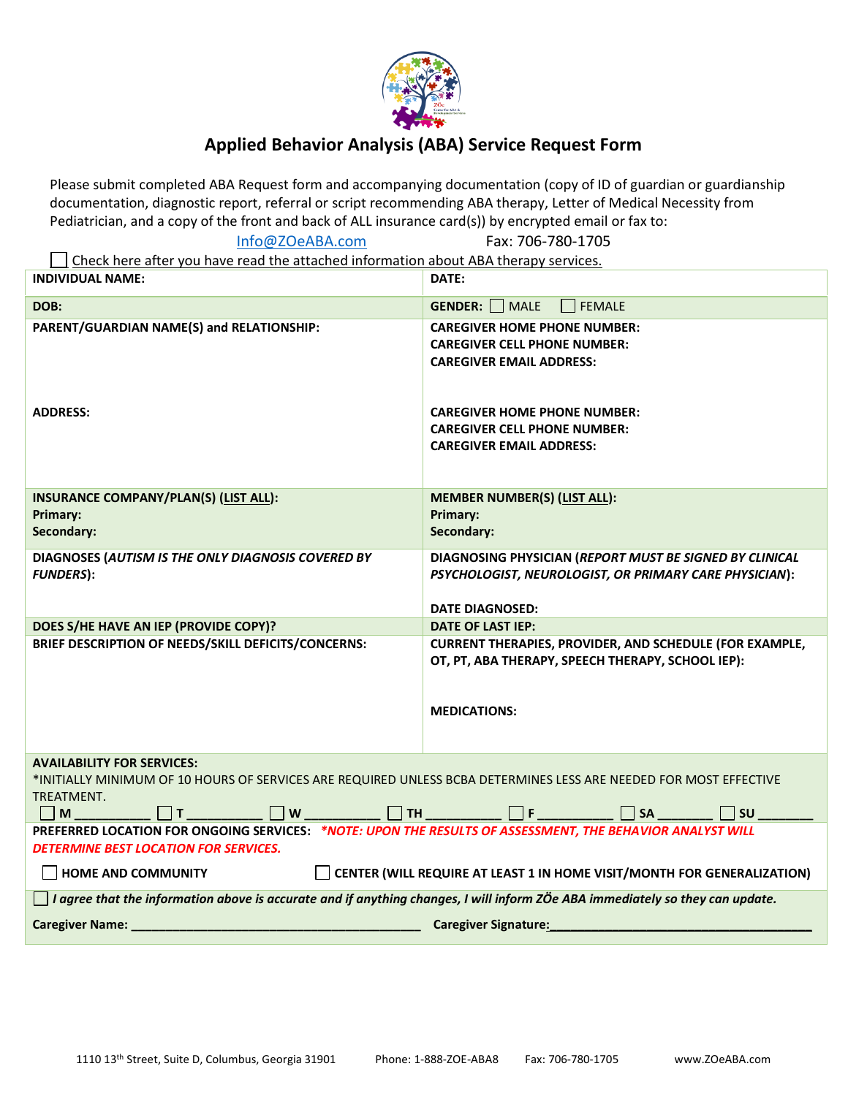

# **Applied Behavior Analysis (ABA) Service Request Form**

Please submit completed ABA Request form and accompanying documentation (copy of ID of guardian or guardianship documentation, diagnostic report, referral or script recommending ABA therapy, Letter of Medical Necessity from Pediatrician, and a copy of the front and back of ALL insurance card(s)) by encrypted email or fax to:

[Info@ZOeABA.com](mailto:Info@ZOeABA.com) Fax: 706-780-1705

Check here after you have read the attached information about ABA therapy services.

| <b>INDIVIDUAL NAME:</b>                                                                                                                                                                                                                        | DATE:                                                                                                                                       |
|------------------------------------------------------------------------------------------------------------------------------------------------------------------------------------------------------------------------------------------------|---------------------------------------------------------------------------------------------------------------------------------------------|
| DOB:                                                                                                                                                                                                                                           | GENDER:<br>  MALE<br><b>FEMALE</b>                                                                                                          |
| PARENT/GUARDIAN NAME(S) and RELATIONSHIP:                                                                                                                                                                                                      | <b>CAREGIVER HOME PHONE NUMBER:</b><br><b>CAREGIVER CELL PHONE NUMBER:</b><br><b>CAREGIVER EMAIL ADDRESS:</b>                               |
| <b>ADDRESS:</b>                                                                                                                                                                                                                                | <b>CAREGIVER HOME PHONE NUMBER:</b><br><b>CAREGIVER CELL PHONE NUMBER:</b><br><b>CAREGIVER EMAIL ADDRESS:</b>                               |
| INSURANCE COMPANY/PLAN(S) (LIST ALL):<br>Primary:<br>Secondary:                                                                                                                                                                                | <b>MEMBER NUMBER(S) (LIST ALL):</b><br>Primary:<br>Secondary:                                                                               |
| DIAGNOSES (AUTISM IS THE ONLY DIAGNOSIS COVERED BY<br><b>FUNDERS</b> ):                                                                                                                                                                        | DIAGNOSING PHYSICIAN (REPORT MUST BE SIGNED BY CLINICAL<br>PSYCHOLOGIST, NEUROLOGIST, OR PRIMARY CARE PHYSICIAN):<br><b>DATE DIAGNOSED:</b> |
| DOES S/HE HAVE AN IEP (PROVIDE COPY)?                                                                                                                                                                                                          | <b>DATE OF LAST IEP:</b>                                                                                                                    |
| BRIEF DESCRIPTION OF NEEDS/SKILL DEFICITS/CONCERNS:                                                                                                                                                                                            | <b>CURRENT THERAPIES, PROVIDER, AND SCHEDULE (FOR EXAMPLE,</b><br>OT, PT, ABA THERAPY, SPEECH THERAPY, SCHOOL IEP):<br><b>MEDICATIONS:</b>  |
| <b>AVAILABILITY FOR SERVICES:</b><br>*INITIALLY MINIMUM OF 10 HOURS OF SERVICES ARE REQUIRED UNLESS BCBA DETERMINES LESS ARE NEEDED FOR MOST EFFECTIVE<br>TREATMENT.<br>$\blacksquare$<br>    T<br>$\vert$ $\vert$ W<br>    TH<br>l Isu<br> SA |                                                                                                                                             |
| PREFERRED LOCATION FOR ONGOING SERVICES: *NOTE: UPON THE RESULTS OF ASSESSMENT, THE BEHAVIOR ANALYST WILL<br><b>DETERMINE BEST LOCATION FOR SERVICES.</b>                                                                                      |                                                                                                                                             |
| <b>HOME AND COMMUNITY</b><br><b>CENTER (WILL REQUIRE AT LEAST 1 IN HOME VISIT/MONTH FOR GENERALIZATION)</b>                                                                                                                                    |                                                                                                                                             |
| $\Box$ I agree that the information above is accurate and if anything changes, I will inform ZÖe ABA immediately so they can update.                                                                                                           |                                                                                                                                             |
| <b>Caregiver Name:</b>                                                                                                                                                                                                                         | <b>Caregiver Signature:</b>                                                                                                                 |